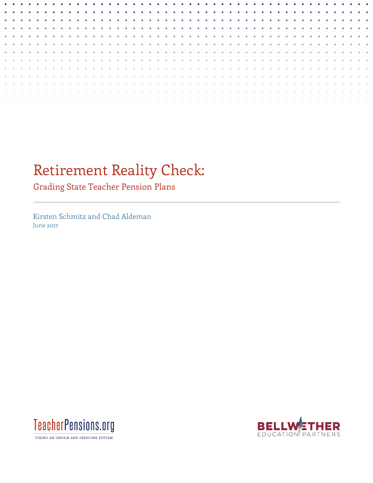# Retirement Reality Check:

Grading State Teacher Pension Plans

Kirsten Schmitz and Chad Aldeman June 2017



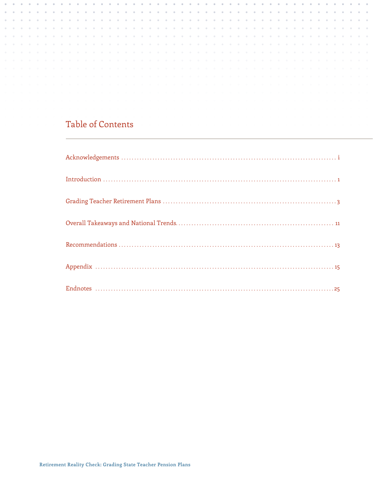# Table of Contents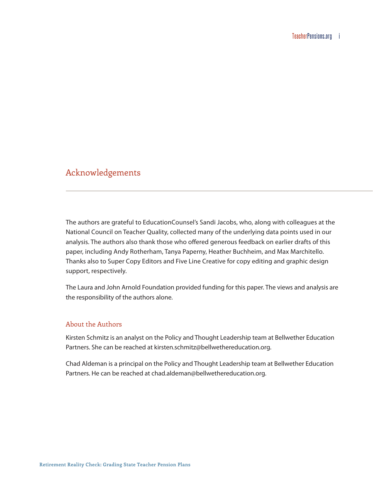# <span id="page-2-0"></span>Acknowledgements

The authors are grateful to EducationCounsel's Sandi Jacobs, who, along with colleagues at the National Council on Teacher Quality, collected many of the underlying data points used in our analysis. The authors also thank those who offered generous feedback on earlier drafts of this paper, including Andy Rotherham, Tanya Paperny, Heather Buchheim, and Max Marchitello. Thanks also to Super Copy Editors and Five Line Creative for copy editing and graphic design support, respectively.

The Laura and John Arnold Foundation provided funding for this paper. The views and analysis are the responsibility of the authors alone.

#### About the Authors

Kirsten Schmitz is an analyst on the Policy and Thought Leadership team at Bellwether Education Partners. She can be reached at [kirsten.schmitz@bellwethereducation.org](mailto:kirsten.schmitz@bellwethereducation.org).

Chad Aldeman is a principal on the Policy and Thought Leadership team at Bellwether Education Partners. He can be reached at [chad.aldeman@bellwethereducation.org](mailto:chad.aldeman@bellwethereducation.org).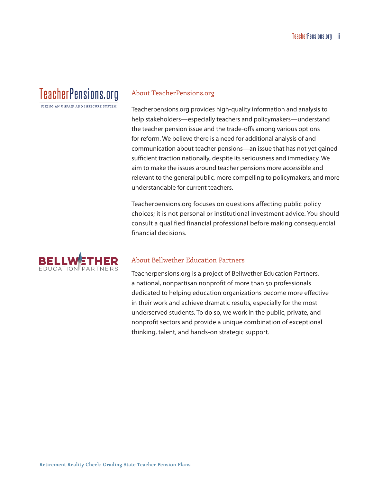# **TeacherPensions.org**

FIXING AN IINFAIR AND INSECURE SYSTEM

#### About TeacherPensions.org

Teacherpensions.org provides high-quality information and analysis to help stakeholders—especially teachers and policymakers—understand the teacher pension issue and the trade-offs among various options for reform. We believe there is a need for additional analysis of and communication about teacher pensions—an issue that has not yet gained sufficient traction nationally, despite its seriousness and immediacy. We aim to make the issues around teacher pensions more accessible and relevant to the general public, more compelling to policymakers, and more understandable for current teachers.

Teacherpensions.org focuses on questions affecting public policy choices; it is not personal or institutional investment advice. You should consult a qualified financial professional before making consequential financial decisions.



#### About Bellwether Education Partners

Teacherpensions.org is a project of Bellwether Education Partners, a national, nonpartisan nonprofit of more than 50 professionals dedicated to helping education organizations become more effective in their work and achieve dramatic results, especially for the most underserved students. To do so, we work in the public, private, and nonprofit sectors and provide a unique combination of exceptional thinking, talent, and hands-on strategic support.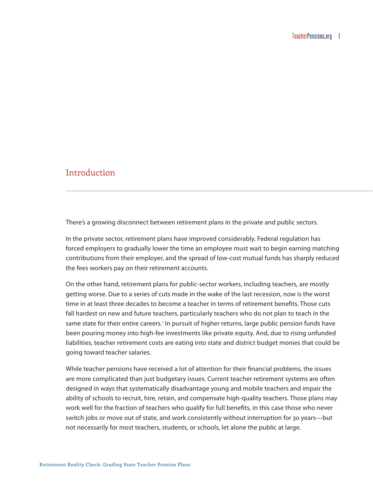# <span id="page-4-0"></span>Introduction

There's a growing disconnect between retirement plans in the private and public sectors.

In the private sector, retirement plans have improved considerably. Federal regulation has forced employers to gradually lower the time an employee must wait to begin earning matching contributions from their employer, and the spread of low-cost mutual funds has sharply reduced the fees workers pay on their retirement accounts.

On the other hand, retirement plans for public-sector workers, including teachers, are mostly getting worse. Due to a series of cuts made in the wake of the last recession, now is the worst time in at least three decades to become a teacher in terms of retirement benefits. Those cuts fall hardest on new and future teachers, particularly teachers who do not plan to teach in the same state for their entire careers.<sup>[1](#page-28-1)</sup> In pursuit of higher returns, large public pension funds have been pouring money into high-fee investments like private equity. And, due to rising unfunded liabilities, teacher retirement costs are eating into state and district budget monies that could be going toward teacher salaries.

While teacher pensions have received a lot of attention for their financial problems, the issues are more complicated than just budgetary issues. Current teacher retirement systems are often designed in ways that systematically disadvantage young and mobile teachers and impair the ability of schools to recruit, hire, retain, and compensate high-quality teachers. Those plans may work well for the fraction of teachers who qualify for full benefits, in this case those who never switch jobs or move out of state, and work consistently without interruption for 30 years—but not necessarily for most teachers, students, or schools, let alone the public at large.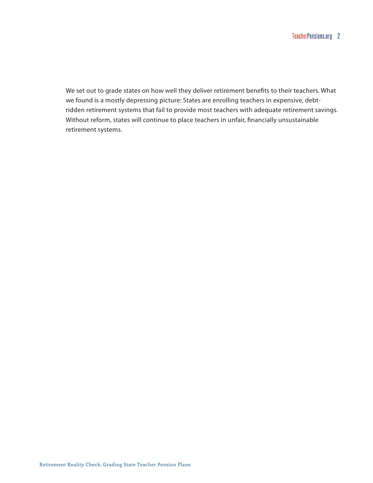We set out to grade states on how well they deliver retirement benefits to their teachers. What we found is a mostly depressing picture: States are enrolling teachers in expensive, debtridden retirement systems that fail to provide most teachers with adequate retirement savings. Without reform, states will continue to place teachers in unfair, financially unsustainable retirement systems.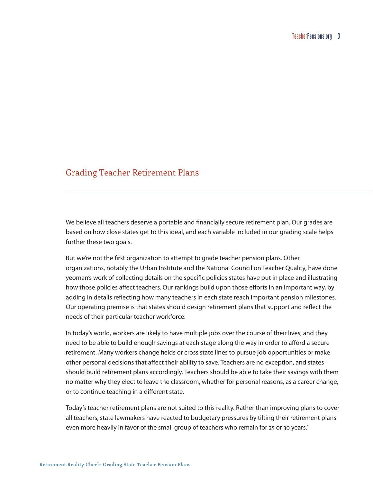# <span id="page-6-0"></span>Grading Teacher Retirement Plans

We believe all teachers deserve a portable and financially secure retirement plan. Our grades are based on how close states get to this ideal, and each variable included in our grading scale helps further these two goals.

But we're not the first organization to attempt to grade teacher pension plans. Other organizations, notably the Urban Institute and the National Council on Teacher Quality, have done yeoman's work of collecting details on the specific policies states have put in place and illustrating how those policies affect teachers. Our rankings build upon those efforts in an important way, by adding in details reflecting how many teachers in each state reach important pension milestones. Our operating premise is that states should design retirement plans that support and reflect the needs of their particular teacher workforce.

In today's world, workers are likely to have multiple jobs over the course of their lives, and they need to be able to build enough savings at each stage along the way in order to afford a secure retirement. Many workers change fields or cross state lines to pursue job opportunities or make other personal decisions that affect their ability to save. Teachers are no exception, and states should build retirement plans accordingly. Teachers should be able to take their savings with them no matter why they elect to leave the classroom, whether for personal reasons, as a career change, or to continue teaching in a different state.

Today's teacher retirement plans are not suited to this reality. Rather than improving plans to cover all teachers, state lawmakers have reacted to budgetary pressures by tilting their retirement plans even more heavily in favor of the small group of teachers who remain for 25 or 30 years.<sup>2</sup>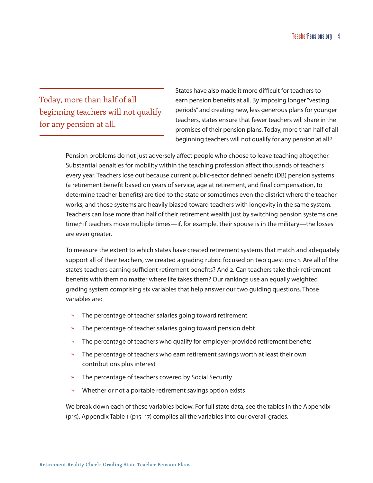# Today, more than half of all beginning teachers will not qualify for any pension at all.

States have also made it more difficult for teachers to earn pension benefits at all. By imposing longer "vesting periods" and creating new, less generous plans for younger teachers, states ensure that fewer teachers will share in the promises of their pension plans. Today, more than half of all beginning teachers will not qualify for any pension at all.[3](#page-28-3)

Pension problems do not just adversely affect people who choose to leave teaching altogether. Substantial penalties for mobility within the teaching profession affect thousands of teachers every year. Teachers lose out because current public-sector defined benefit (DB) pension systems (a retirement benefit based on years of service, age at retirement, and final compensation, to determine teacher benefits) are tied to the state or sometimes even the district where the teacher works, and those systems are heavily biased toward teachers with longevity in the same system. Teachers can lose more than half of their retirement wealth just by switching pension systems one time;<sup>4</sup> if teachers move multiple times—if, for example, their spouse is in the military—the losses are even greater.

To measure the extent to which states have created retirement systems that match and adequately support all of their teachers, we created a grading rubric focused on two questions: 1. Are all of the state's teachers earning sufficient retirement benefits? And 2. Can teachers take their retirement benefits with them no matter where life takes them? Our rankings use an equally weighted grading system comprising six variables that help answer our two guiding questions. Those variables are:

- » The percentage of teacher salaries going toward retirement
- » The percentage of teacher salaries going toward pension debt
- » The percentage of teachers who qualify for employer-provided retirement benefits
- » The percentage of teachers who earn retirement savings worth at least their own contributions plus interest
- » The percentage of teachers covered by Social Security
- » Whether or not a portable retirement savings option exists

We break down each of these variables below. For full state data, see the tables in the Appendix (p15). Appendix Table 1 (p15–17) compiles all the variables into our overall grades.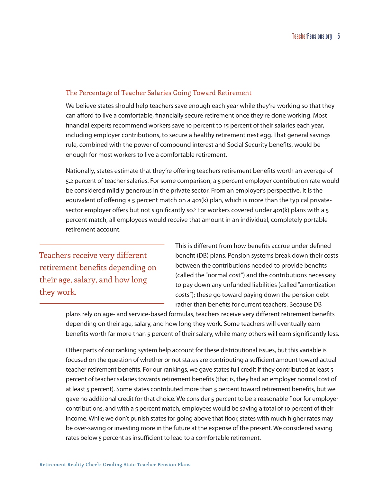#### The Percentage of Teacher Salaries Going Toward Retirement

We believe states should help teachers save enough each year while they're working so that they can afford to live a comfortable, financially secure retirement once they're done working. Most financial experts recommend workers save 10 percent to 15 percent of their salaries each year, including employer contributions, to secure a healthy retirement nest egg. That general savings rule, combined with the power of compound interest and Social Security benefits, would be enough for most workers to live a comfortable retirement.

Nationally, states estimate that they're offering teachers retirement benefits worth an average of 5.2 percent of teacher salaries. For some comparison, a 5 percent employer contribution rate would be considered mildly generous in the private sector. From an employer's perspective, it is the equivalent of offering a 5 percent match on a 401(k) plan, which is more than the typical private-sector employer offers but not significantly so.<sup>[5](#page-28-5)</sup> For workers covered under 401(k) plans with a 5 percent match, all employees would receive that amount in an individual, completely portable retirement account.

Teachers receive very different retirement benefits depending on their age, salary, and how long they work.

This is different from how benefits accrue under defined benefit (DB) plans. Pension systems break down their costs between the contributions needed to provide benefits (called the "normal cost") and the contributions necessary to pay down any unfunded liabilities (called "amortization costs"); these go toward paying down the pension debt rather than benefits for current teachers. Because DB

plans rely on age- and service-based formulas, teachers receive very different retirement benefits depending on their age, salary, and how long they work. Some teachers will eventually earn benefits worth far more than 5 percent of their salary, while many others will earn significantly less.

Other parts of our ranking system help account for these distributional issues, but this variable is focused on the question of whether or not states are contributing a sufficient amount toward actual teacher retirement benefits. For our rankings, we gave states full credit if they contributed at least 5 percent of teacher salaries towards retirement benefits (that is, they had an employer normal cost of at least 5 percent). Some states contributed more than 5 percent toward retirement benefits, but we gave no additional credit for that choice. We consider 5 percent to be a reasonable floor for employer contributions, and with a 5 percent match, employees would be saving a total of 10 percent of their income. While we don't punish states for going above that floor, states with much higher rates may be over-saving or investing more in the future at the expense of the present. We considered saving rates below 5 percent as insufficient to lead to a comfortable retirement.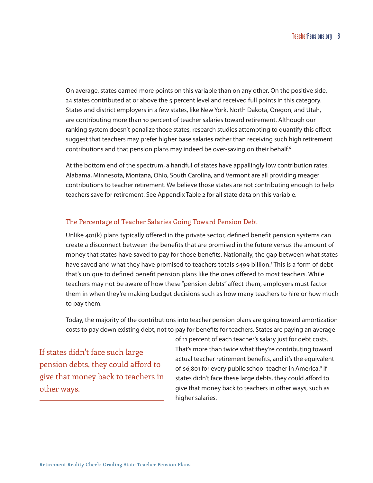On average, states earned more points on this variable than on any other. On the positive side, 24 states contributed at or above the 5 percent level and received full points in this category. States and district employers in a few states, like New York, North Dakota, Oregon, and Utah, are contributing more than 10 percent of teacher salaries toward retirement. Although our ranking system doesn't penalize those states, research studies attempting to quantify this effect suggest that teachers may prefer higher base salaries rather than receiving such high retirement contributions and that pension plans may indeed be over-saving on their behalf.<sup>[6](#page-28-6)</sup>

At the bottom end of the spectrum, a handful of states have appallingly low contribution rates. Alabama, Minnesota, Montana, Ohio, South Carolina, and Vermont are all providing meager contributions to teacher retirement. We believe those states are not contributing enough to help teachers save for retirement. See Appendix Table 2 for all state data on this variable.

#### The Percentage of Teacher Salaries Going Toward Pension Debt

Unlike 401(k) plans typically offered in the private sector, defined benefit pension systems can create a disconnect between the benefits that are promised in the future versus the amount of money that states have saved to pay for those benefits. Nationally, the gap between what states have saved and what they have promised to teachers totals \$499 billion.<sup>[7](#page-28-7)</sup> This is a form of debt that's unique to defined benefit pension plans like the ones offered to most teachers. While teachers may not be aware of how these "pension debts" affect them, employers must factor them in when they're making budget decisions such as how many teachers to hire or how much to pay them.

Today, the majority of the contributions into teacher pension plans are going toward amortization costs to pay down existing debt, not to pay for benefits for teachers. States are paying an average

If states didn't face such large pension debts, they could afford to give that money back to teachers in other ways.

of 11 percent of each teacher's salary just for debt costs. That's more than twice what they're contributing toward actual teacher retirement benefits, and it's the equivalent of \$6,801 for every public school teacher in America.<sup>8</sup> If states didn't face these large debts, they could afford to give that money back to teachers in other ways, such as higher salaries.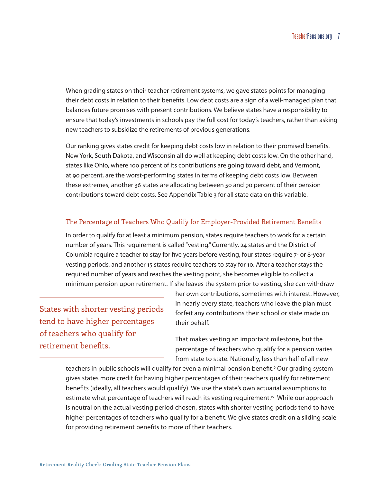When grading states on their teacher retirement systems, we gave states points for managing their debt costs in relation to their benefits. Low debt costs are a sign of a well-managed plan that balances future promises with present contributions. We believe states have a responsibility to ensure that today's investments in schools pay the full cost for today's teachers, rather than asking new teachers to subsidize the retirements of previous generations.

Our ranking gives states credit for keeping debt costs low in relation to their promised benefits. New York, South Dakota, and Wisconsin all do well at keeping debt costs low. On the other hand, states like Ohio, where 100 percent of its contributions are going toward debt, and Vermont, at 90 percent, are the worst-performing states in terms of keeping debt costs low. Between these extremes, another 36 states are allocating between 50 and 90 percent of their pension contributions toward debt costs. See Appendix Table 3 for all state data on this variable.

#### The Percentage of Teachers Who Qualify for Employer-Provided Retirement Benefits

In order to qualify for at least a minimum pension, states require teachers to work for a certain number of years. This requirement is called "vesting." Currently, 24 states and the District of Columbia require a teacher to stay for five years before vesting, four states require 7- or 8-year vesting periods, and another 15 states require teachers to stay for 10. After a teacher stays the required number of years and reaches the vesting point, she becomes eligible to collect a minimum pension upon retirement. If she leaves the system prior to vesting, she can withdraw

States with shorter vesting periods tend to have higher percentages of teachers who qualify for retirement benefits.

her own contributions, sometimes with interest. However, in nearly every state, teachers who leave the plan must forfeit any contributions their school or state made on their behalf.

That makes vesting an important milestone, but the percentage of teachers who qualify for a pension varies from state to state. Nationally, less than half of all new

teachers in public schools will qualify for even a minimal pension benefit.<sup>9</sup> Our grading system gives states more credit for having higher percentages of their teachers qualify for retirement benefits (ideally, all teachers would qualify). We use the state's own actuarial assumptions to estimate what percentage of teachers will reach its vesting requirement.<sup>[10](#page-28-10)</sup> While our approach is neutral on the actual vesting period chosen, states with shorter vesting periods tend to have higher percentages of teachers who qualify for a benefit. We give states credit on a sliding scale for providing retirement benefits to more of their teachers.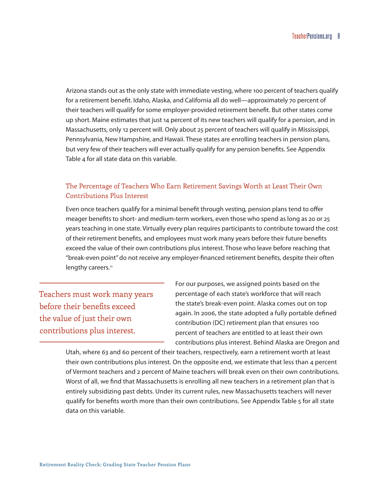Arizona stands out as the only state with immediate vesting, where 100 percent of teachers qualify for a retirement benefit. Idaho, Alaska, and California all do well—approximately 70 percent of their teachers will qualify for some employer-provided retirement benefit. But other states come up short. Maine estimates that just 14 percent of its new teachers will qualify for a pension, and in Massachusetts, only 12 percent will. Only about 25 percent of teachers will qualify in Mississippi, Pennsylvania, New Hampshire, and Hawaii. These states are enrolling teachers in pension plans, but very few of their teachers will ever actually qualify for any pension benefits. See Appendix Table 4 for all state data on this variable.

#### The Percentage of Teachers Who Earn Retirement Savings Worth at Least Their Own Contributions Plus Interest

Even once teachers qualify for a minimal benefit through vesting, pension plans tend to offer meager benefits to short- and medium-term workers, even those who spend as long as 20 or 25 years teaching in one state. Virtually every plan requires participants to contribute toward the cost of their retirement benefits, and employees must work many years before their future benefits exceed the value of their own contributions plus interest. Those who leave before reaching that "break-even point" do not receive any employer-financed retirement benefits, despite their often lengthy careers.<sup>11</sup>

Teachers must work many years before their benefits exceed the value of just their own contributions plus interest.

For our purposes, we assigned points based on the percentage of each state's workforce that will reach the state's break-even point. Alaska comes out on top again. In 2006, the state adopted a fully portable defined contribution (DC) retirement plan that ensures 100 percent of teachers are entitled to at least their own contributions plus interest. Behind Alaska are Oregon and

Utah, where 63 and 60 percent of their teachers, respectively, earn a retirement worth at least their own contributions plus interest. On the opposite end, we estimate that less than 4 percent of Vermont teachers and 2 percent of Maine teachers will break even on their own contributions. Worst of all, we find that Massachusetts is enrolling all new teachers in a retirement plan that is entirely subsidizing past debts. Under its current rules, new Massachusetts teachers will never qualify for benefits worth more than their own contributions. See Appendix Table 5 for all state data on this variable.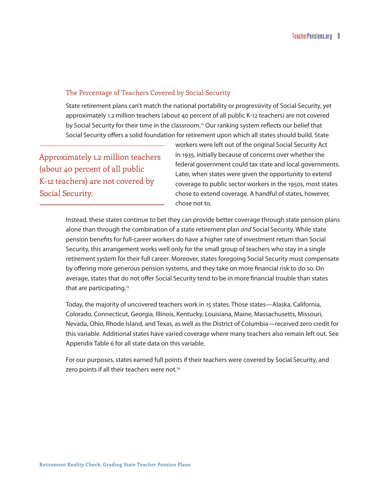#### The Percentage of Teachers Covered by Social Security

State retirement plans can't match the national portability or progressivity of Social Security, yet approximately 1.2 million teachers (about 40 percent of all public K-12 teachers) are not covered by Social Security for their time in the classroom.<sup>12</sup> Our ranking system reflects our belief that Social Security offers a solid foundation for retirement upon which all states should build. State

Approximately 1.2 million teachers (about 40 percent of all public K-12 teachers) are not covered by Social Security.

workers were left out of the original Social Security Act in 1935, initially because of concerns over whether the federal government could tax state and local governments. Later, when states were given the opportunity to extend coverage to public sector workers in the 1950s, most states chose to extend coverage. A handful of states, however, chose not to.

Instead, these states continue to bet they can provide better coverage through state pension plans alone than through the combination of a state retirement plan *and* Social Security. While state pension benefits for full-career workers do have a higher rate of investment return than Social Security, this arrangement works well only for the small group of teachers who stay in a single retirement system for their full career. Moreover, states foregoing Social Security must compensate by offering more generous pension systems, and they take on more financial risk to do so. On average, states that do not offer Social Security tend to be in more financial trouble than states that are participating.<sup>[13](#page-28-13)</sup>

Today, the majority of uncovered teachers work in 15 states. Those states—Alaska, California, Colorado, Connecticut, Georgia, Illinois, Kentucky, Louisiana, Maine, Massachusetts, Missouri, Nevada, Ohio, Rhode Island, and Texas, as well as the District of Columbia—received zero credit for this variable. Additional states have varied coverage where many teachers also remain left out. See Appendix Table 6 for all state data on this variable.

For our purposes, states earned full points if their teachers were covered by Social Security, and zero points if all their teachers were not.<sup>14</sup>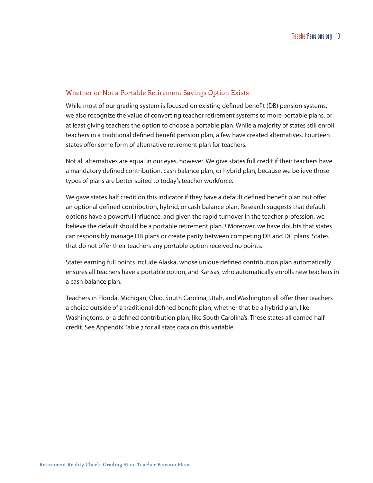#### Whether or Not a Portable Retirement Savings Option Exists

While most of our grading system is focused on existing defined benefit (DB) pension systems, we also recognize the value of converting teacher retirement systems to more portable plans, or at least giving teachers the option to choose a portable plan. While a majority of states still enroll teachers in a traditional defined benefit pension plan, a few have created alternatives. Fourteen states offer some form of alternative retirement plan for teachers.

Not all alternatives are equal in our eyes, however. We give states full credit if their teachers have a mandatory defined contribution, cash balance plan, or hybrid plan, because we believe those types of plans are better suited to today's teacher workforce.

We gave states half credit on this indicator if they have a default defined benefit plan but offer an optional defined contribution, hybrid, or cash balance plan. Research suggests that default options have a powerful influence, and given the rapid turnover in the teacher profession, we believe the default should be a portable retirement plan.[15](#page-28-15) Moreover, we have doubts that states can responsibly manage DB plans or create parity between competing DB and DC plans. States that do not offer their teachers any portable option received no points.

States earning full points include Alaska, whose unique defined contribution plan automatically ensures all teachers have a portable option, and Kansas, who automatically enrolls new teachers in a cash balance plan.

Teachers in Florida, Michigan, Ohio, South Carolina, Utah, and Washington all offer their teachers a choice outside of a traditional defined benefit plan, whether that be a hybrid plan, like Washington's, or a defined contribution plan, like South Carolina's. These states all earned half credit. See Appendix Table 7 for all state data on this variable.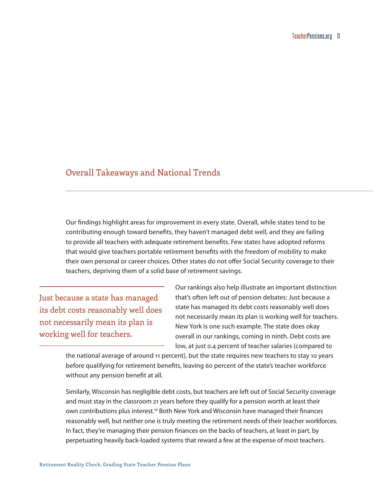### <span id="page-14-0"></span>Overall Takeaways and National Trends

Our findings highlight areas for improvement in every state. Overall, while states tend to be contributing enough toward benefits, they haven't managed debt well, and they are failing to provide all teachers with adequate retirement benefits. Few states have adopted reforms that would give teachers portable retirement benefits with the freedom of mobility to make their own personal or career choices. Other states do not offer Social Security coverage to their teachers, depriving them of a solid base of retirement savings.

Just because a state has managed its debt costs reasonably well does not necessarily mean its plan is working well for teachers.

Our rankings also help illustrate an important distinction that's often left out of pension debates: Just because a state has managed its debt costs reasonably well does not necessarily mean its plan is working well for teachers. New York is one such example. The state does okay overall in our rankings, coming in ninth. Debt costs are low, at just 0.4 percent of teacher salaries (compared to

the national average of around 11 percent), but the state requires new teachers to stay 10 years before qualifying for retirement benefits, leaving 60 percent of the state's teacher workforce without any pension benefit at all.

Similarly, Wisconsin has negligible debt costs, but teachers are left out of Social Security coverage and must stay in the classroom 21 years before they qualify for a pension worth at least their own contributions plus interest[.16](#page-28-16) Both New York and Wisconsin have managed their finances reasonably well, but neither one is truly meeting the retirement needs of their teacher workforces. In fact, they're managing their pension finances on the backs of teachers, at least in part, by perpetuating heavily back-loaded systems that reward a few at the expense of most teachers.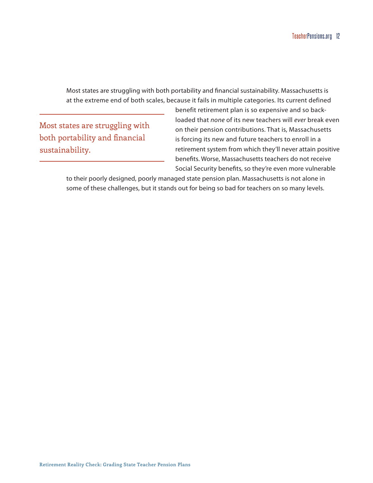Most states are struggling with both portability and financial sustainability. Massachusetts is at the extreme end of both scales, because it fails in multiple categories. Its current defined

Most states are struggling with both portability and financial sustainability.

benefit retirement plan is so expensive and so backloaded that *none* of its new teachers will *ever* break even on their pension contributions. That is, Massachusetts is forcing its new and future teachers to enroll in a retirement system from which they'll never attain positive benefits. Worse, Massachusetts teachers do not receive Social Security benefits, so they're even more vulnerable

to their poorly designed, poorly managed state pension plan. Massachusetts is not alone in some of these challenges, but it stands out for being so bad for teachers on so many levels.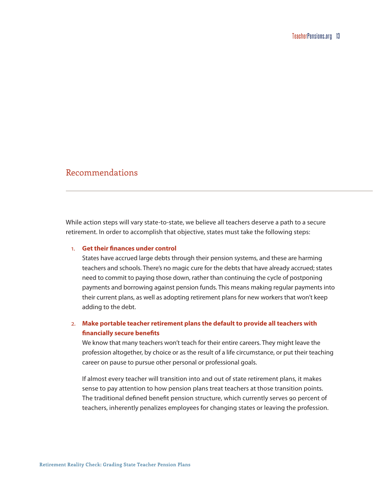# <span id="page-16-0"></span>Recommendations

While action steps will vary state-to-state, we believe all teachers deserve a path to a secure retirement. In order to accomplish that objective, states must take the following steps:

#### 1. **Get their finances under control**

States have accrued large debts through their pension systems, and these are harming teachers and schools. There's no magic cure for the debts that have already accrued; states need to commit to paying those down, rather than continuing the cycle of postponing payments and borrowing against pension funds. This means making regular payments into their current plans, as well as adopting retirement plans for new workers that won't keep adding to the debt.

#### 2. **Make portable teacher retirement plans the default to provide all teachers with financially secure benefits**

We know that many teachers won't teach for their entire careers. They might leave the profession altogether, by choice or as the result of a life circumstance, or put their teaching career on pause to pursue other personal or professional goals.

If almost every teacher will transition into and out of state retirement plans, it makes sense to pay attention to how pension plans treat teachers at those transition points. The traditional defined benefit pension structure, which currently serves 90 percent of teachers, inherently penalizes employees for changing states or leaving the profession.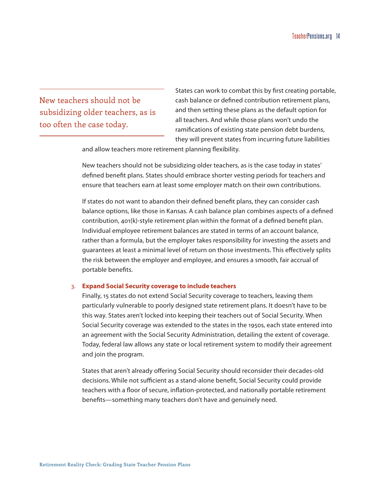New teachers should not be subsidizing older teachers, as is too often the case today.

States can work to combat this by first creating portable, cash balance or defined contribution retirement plans, and then setting these plans as the default option for all teachers. And while those plans won't undo the ramifications of existing state pension debt burdens, they will prevent states from incurring future liabilities

and allow teachers more retirement planning flexibility.

New teachers should not be subsidizing older teachers, as is the case today in states' defined benefit plans. States should embrace shorter vesting periods for teachers and ensure that teachers earn at least some employer match on their own contributions.

If states do not want to abandon their defined benefit plans, they can consider cash balance options, like those in Kansas. A cash balance plan combines aspects of a defined contribution, 401(k)-style retirement plan within the format of a defined benefit plan. Individual employee retirement balances are stated in terms of an account balance, rather than a formula, but the employer takes responsibility for investing the assets and guarantees at least a minimal level of return on those investments. This effectively splits the risk between the employer and employee, and ensures a smooth, fair accrual of portable benefits.

#### 3. **Expand Social Security coverage to include teachers**

Finally, 15 states do not extend Social Security coverage to teachers, leaving them particularly vulnerable to poorly designed state retirement plans. It doesn't have to be this way. States aren't locked into keeping their teachers out of Social Security. When Social Security coverage was extended to the states in the 1950s, each state entered into an agreement with the Social Security Administration, detailing the extent of coverage. Today, federal law allows any state or local retirement system to modify their agreement and join the program.

States that aren't already offering Social Security should reconsider their decades-old decisions. While not sufficient as a stand-alone benefit, Social Security could provide teachers with a floor of secure, inflation-protected, and nationally portable retirement benefits—something many teachers don't have and genuinely need.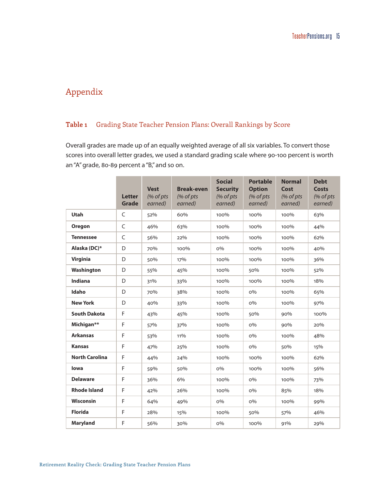# <span id="page-18-0"></span>Appendix

#### **Table 1** Grading State Teacher Pension Plans: Overall Rankings by Score

Overall grades are made up of an equally weighted average of all six variables. To convert those scores into overall letter grades, we used a standard grading scale where 90-100 percent is worth an "A" grade, 80-89 percent a "B," and so on.

|                       | <b>Letter</b><br><b>Grade</b> | <b>Vest</b><br>(% of pts<br>earned) | <b>Break-even</b><br>(% of pts)<br>earned) | <b>Social</b><br><b>Security</b><br>(% of pts<br>earned) | <b>Portable</b><br><b>Option</b><br>(% of pts<br>earned) | <b>Normal</b><br>Cost<br>(% of pts<br>earned) | <b>Debt</b><br><b>Costs</b><br>(% of pts<br>earned) |
|-----------------------|-------------------------------|-------------------------------------|--------------------------------------------|----------------------------------------------------------|----------------------------------------------------------|-----------------------------------------------|-----------------------------------------------------|
| <b>Utah</b>           | $\mathsf C$                   | 52%                                 | 60%                                        | 100%                                                     | 100%                                                     | 100%                                          | 63%                                                 |
| <b>Oregon</b>         | C                             | 46%                                 | 63%                                        | 100%                                                     | 100%                                                     | 100%                                          | 44%                                                 |
| <b>Tennessee</b>      | C                             | 56%                                 | 22%                                        | 100%                                                     | 100%                                                     | 100%                                          | 62%                                                 |
| Alaska (DC)*          | D                             | 70%                                 | 100%                                       | $O\%$                                                    | 100%                                                     | 100%                                          | 40%                                                 |
| <b>Virginia</b>       | D                             | 50%                                 | 17%                                        | 100%                                                     | 100%                                                     | 100%                                          | 36%                                                 |
| Washington            | D                             | 55%                                 | 45%                                        | 100%                                                     | 50%                                                      | 100%                                          | 52%                                                 |
| <b>Indiana</b>        | D                             | 31%                                 | 33%                                        | 100%                                                     | 100%                                                     | 100%                                          | 18%                                                 |
| Idaho                 | D                             | 70%                                 | 38%                                        | 100%                                                     | $O\%$                                                    | 100%                                          | 65%                                                 |
| <b>New York</b>       | D                             | 40%                                 | 33%                                        | 100%                                                     | $O\%$                                                    | 100%                                          | 97%                                                 |
| <b>South Dakota</b>   | F                             | 43%                                 | 45%                                        | 100%                                                     | 50%                                                      | 90%                                           | 100%                                                |
| Michigan**            | F                             | 57%                                 | 37%                                        | 100%                                                     | $O\%$                                                    | 90%                                           | 20%                                                 |
| <b>Arkansas</b>       | F                             | 53%                                 | 11%                                        | 100%                                                     | $O\%$                                                    | 100%                                          | 48%                                                 |
| <b>Kansas</b>         | F                             | 47%                                 | 25%                                        | 100%                                                     | $O\%$                                                    | 50%                                           | 15%                                                 |
| <b>North Carolina</b> | F                             | 44%                                 | 24%                                        | 100%                                                     | 100%                                                     | 100%                                          | 62%                                                 |
| lowa                  | F                             | 59%                                 | 50%                                        | $O\%$                                                    | 100%                                                     | 100%                                          | 56%                                                 |
| <b>Delaware</b>       | F                             | 36%                                 | 6%                                         | 100%                                                     | $O\%$                                                    | 100%                                          | 73%                                                 |
| <b>Rhode Island</b>   | F                             | 42%                                 | 26%                                        | 100%                                                     | <b>0%</b>                                                | 85%                                           | 18%                                                 |
| <b>Wisconsin</b>      | F                             | 64%                                 | 49%                                        | $O\%$                                                    | $O\%$                                                    | 100%                                          | 99%                                                 |
| <b>Florida</b>        | F                             | 28%                                 | 15%                                        | 100%                                                     | 50%                                                      | 57%                                           | 46%                                                 |
| <b>Maryland</b>       | F                             | 56%                                 | 30%                                        | $O\%$                                                    | 100%                                                     | 91%                                           | 29%                                                 |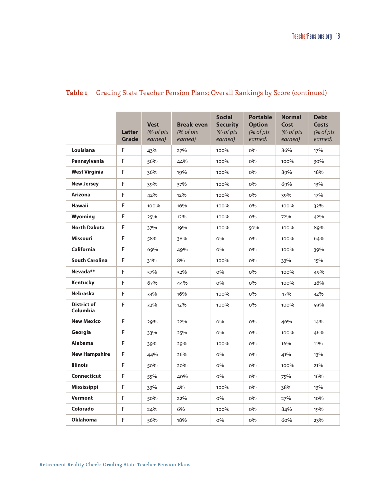|                                | <b>Letter</b><br>Grade | <b>Vest</b><br>(% of pts<br>earned) | <b>Break-even</b><br>(% of pts<br>earned) | <b>Social</b><br><b>Security</b><br>(% of pts<br>earned) | <b>Portable</b><br><b>Option</b><br>(% of pts<br>earned) | <b>Normal</b><br>Cost<br>(% of pts<br>earned) | <b>Debt</b><br>Costs<br>(% of pts<br>earned) |
|--------------------------------|------------------------|-------------------------------------|-------------------------------------------|----------------------------------------------------------|----------------------------------------------------------|-----------------------------------------------|----------------------------------------------|
| Louisiana                      | F                      | 43%                                 | 27%                                       | 100%                                                     | $O\%$                                                    | 86%                                           | 17%                                          |
| Pennsylvania                   | F                      | 56%                                 | 44%                                       | 100%                                                     | $O\%$                                                    | 100%                                          | 30%                                          |
| <b>West Virginia</b>           | F                      | 36%                                 | 19%                                       | 100%                                                     | $O\%$                                                    | 89%                                           | 18%                                          |
| <b>New Jersey</b>              | F                      | 39%                                 | 37%                                       | 100%                                                     | $O\%$                                                    | 69%                                           | 13%                                          |
| <b>Arizona</b>                 | F                      | 42%                                 | 12%                                       | 100%                                                     | $O\%$                                                    | 39%                                           | 17%                                          |
| <b>Hawaii</b>                  | $\mathsf F$            | 100%                                | 16%                                       | 100%                                                     | $O\%$                                                    | 100%                                          | 32%                                          |
| Wyoming                        | F                      | 25%                                 | 12%                                       | 100%                                                     | $O\%$                                                    | 72%                                           | 42%                                          |
| <b>North Dakota</b>            | F                      | 37%                                 | 19%                                       | 100%                                                     | 50%                                                      | 100%                                          | 89%                                          |
| <b>Missouri</b>                | F                      | 58%                                 | 38%                                       | $O\%$                                                    | $O\%$                                                    | 100%                                          | 64%                                          |
| <b>California</b>              | F                      | 69%                                 | 49%                                       | $O\%$                                                    | $O\%$                                                    | 100%                                          | 39%                                          |
| <b>South Carolina</b>          | F                      | 31%                                 | 8%                                        | 100%                                                     | $O\%$                                                    | 33%                                           | 15%                                          |
| Nevada <sup>**</sup>           | F                      | 57%                                 | 32%                                       | $O\%$                                                    | 0%                                                       | 100%                                          | 49%                                          |
| <b>Kentucky</b>                | F                      | 67%                                 | 44%                                       | $O\%$                                                    | $O\%$                                                    | 100%                                          | 26%                                          |
| <b>Nebraska</b>                | F                      | 33%                                 | 16%                                       | 100%                                                     | $O\%$                                                    | 47%                                           | 32%                                          |
| <b>District of</b><br>Columbia | F                      | 32%                                 | 12%                                       | 100%                                                     | 0%                                                       | 100%                                          | 59%                                          |
| <b>New Mexico</b>              | F                      | 29%                                 | 22%                                       | $O\%$                                                    | $O\%$                                                    | 46%                                           | 14%                                          |
| Georgia                        | F                      | 33%                                 | 25%                                       | $O\%$                                                    | $O\%$                                                    | 100%                                          | 46%                                          |
| <b>Alabama</b>                 | F                      | 39%                                 | 29%                                       | 100%                                                     | $O\%$                                                    | 16%                                           | 11%                                          |
| <b>New Hampshire</b>           | F                      | 44%                                 | 26%                                       | $O\%$                                                    | $O\%$                                                    | 41%                                           | 13%                                          |
| <b>Illinois</b>                | F                      | 50%                                 | 20%                                       | $O\%$                                                    | $O\%$                                                    | 100%                                          | 21%                                          |
| <b>Connecticut</b>             | F                      | 55%                                 | 40%                                       | $O\%$                                                    | $O\%$                                                    | 75%                                           | 16%                                          |
| <b>Mississippi</b>             | $\mathsf F$            | 33%                                 | 4%                                        | 100%                                                     | $O\%$                                                    | 38%                                           | 13%                                          |
| <b>Vermont</b>                 | F                      | 50%                                 | 22%                                       | $O\%$                                                    | $O\%$                                                    | 27%                                           | 10%                                          |
| Colorado                       | F                      | 24%                                 | 6%                                        | 100%                                                     | $O\%$                                                    | 84%                                           | 19%                                          |
| <b>Oklahoma</b>                | F                      | 56%                                 | 18%                                       | $O\%$                                                    | $O\%$                                                    | 60%                                           | 23%                                          |
|                                |                        |                                     |                                           |                                                          |                                                          |                                               |                                              |

# **Table 1** Grading State Teacher Pension Plans: Overall Rankings by Score (continued)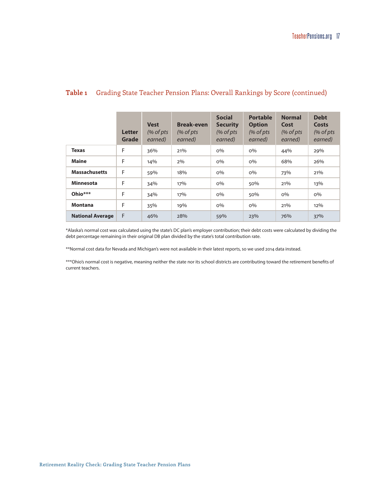#### **Table 1** Grading State Teacher Pension Plans: Overall Rankings by Score (continued)

|                         | Letter<br>Grade | <b>Vest</b><br>$%$ of pts<br>earned) | <b>Break-even</b><br>$%$ of pts<br>earned) | <b>Social</b><br><b>Security</b><br>$%$ of pts<br>earned) | <b>Portable</b><br><b>Option</b><br>$%$ of pts<br>earned) | <b>Normal</b><br>Cost<br>$%$ of pts<br>earned) | <b>Debt</b><br>Costs<br>$%$ of pts<br>earned) |
|-------------------------|-----------------|--------------------------------------|--------------------------------------------|-----------------------------------------------------------|-----------------------------------------------------------|------------------------------------------------|-----------------------------------------------|
| <b>Texas</b>            | F               | 36%                                  | 21%                                        | $O\%$                                                     | $O\%$                                                     | 44%                                            | 29%                                           |
| <b>Maine</b>            | F               | 14%                                  | $2\%$                                      | $O\%$                                                     | $O\%$                                                     | 68%                                            | 26%                                           |
| <b>Massachusetts</b>    | F               | 59%                                  | 18%                                        | $O\%$                                                     | $O\%$                                                     | 73%                                            | 21%                                           |
| <b>Minnesota</b>        | F               | 34%                                  | 17%                                        | $O\%$                                                     | 50%                                                       | 21%                                            | 13%                                           |
| Ohio***                 | F               | 34%                                  | 17%                                        | $O\%$                                                     | 50%                                                       | $O\%$                                          | $O\%$                                         |
| <b>Montana</b>          | F               | 35%                                  | 19%                                        | $O\%$                                                     | $O\%$                                                     | 21%                                            | 12%                                           |
| <b>National Average</b> | F               | 46%                                  | 28%                                        | 59%                                                       | 23%                                                       | 76%                                            | 37%                                           |

\*Alaska's normal cost was calculated using the state's DC plan's employer contribution; their debt costs were calculated by dividing the debt percentage remaining in their original DB plan divided by the state's total contribution rate.

\*\*Normal cost data for Nevada and Michigan's were not available in their latest reports, so we used 2014 data instead.

\*\*\*Ohio's normal cost is negative, meaning neither the state nor its school districts are contributing toward the retirement benefits of current teachers.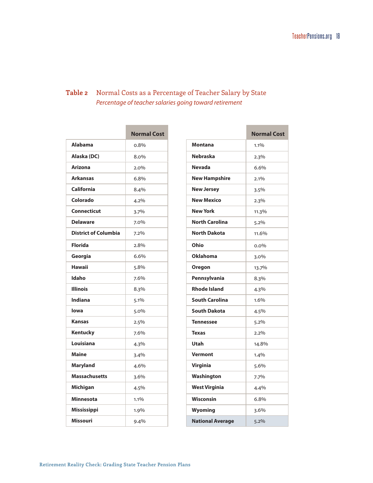# **Table 2** Normal Costs as a Percentage of Teacher Salary by State *Percentage of teacher salaries going toward retirement*

|                             | <b>Normal Cost</b> |
|-----------------------------|--------------------|
| <b>Alabama</b>              | 0.8%               |
| Alaska (DC)                 | 8.0%               |
| <b>Arizona</b>              | $2.0\%$            |
| <b>Arkansas</b>             | 6.8%               |
| <b>California</b>           | 8.4%               |
| Colorado                    | 4.2%               |
| Connecticut                 | 3.7%               |
| <b>Delaware</b>             | 7.0%               |
| <b>District of Columbia</b> | 7.2%               |
| <b>Florida</b>              | 2.8%               |
| Georgia                     | 6.6%               |
| <b>Hawaii</b>               | 5.8%               |
| Idaho                       | 7.6%               |
| <b>Illinois</b>             | 8.3%               |
| <b>Indiana</b>              | 5.1%               |
| lowa                        | 5.0%               |
| <b>Kansas</b>               | 2.5%               |
| Kentucky                    | 7.6%               |
| Louisiana                   | 4.3%               |
| <b>Maine</b>                | 3.4%               |
| <b>Maryland</b>             | 4.6%               |
| <b>Massachusetts</b>        | 3.6%               |
| <b>Michigan</b>             | 4.5%               |
| <b>Minnesota</b>            | 1.1%               |
| Mississippi                 | 1.9%               |
| <b>Missouri</b>             | $9.4\%$            |

|                         | <b>Normal Cost</b> |
|-------------------------|--------------------|
| Montana                 | 1.1%               |
| <b>Nebraska</b>         | 2.3%               |
| <b>Nevada</b>           | 6.6%               |
| <b>New Hampshire</b>    | 2.1%               |
| <b>New Jersey</b>       | 3.5%               |
| <b>New Mexico</b>       | 2.3%               |
| <b>New York</b>         | 11.3%              |
| <b>North Carolina</b>   | 5.2%               |
| <b>North Dakota</b>     | 11.6%              |
| Ohio                    | 0.0%               |
| <b>Oklahoma</b>         | 3.0%               |
| Oregon                  | 13.7%              |
| Pennsylvania            | 8.3%               |
| <b>Rhode Island</b>     | 4.3%               |
| <b>South Carolina</b>   | 1.6%               |
| <b>South Dakota</b>     | 4.5%               |
| <b>Tennessee</b>        | 5.2%               |
| <b>Texas</b>            | 2.2%               |
| Utah                    | 14.8%              |
| <b>Vermont</b>          | 1.4%               |
| <b>Virginia</b>         | 5.6%               |
| Washington              | 7.7%               |
| <b>West Virginia</b>    | 4.4%               |
| <b>Wisconsin</b>        | 6.8%               |
| Wyoming                 | 3.6%               |
| <b>National Average</b> | 5.2%               |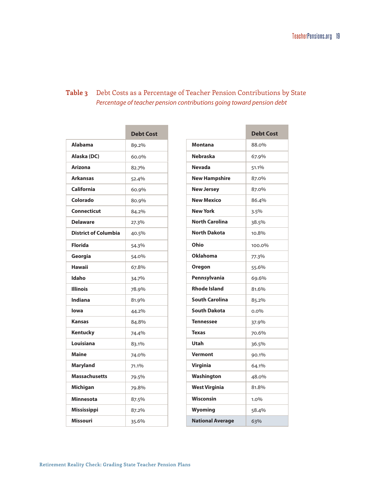# **Table 3** Debt Costs as a Percentage of Teacher Pension Contributions by State *Percentage of teacher pension contributions going toward pension debt*

|                             | <b>Debt Cost</b> |
|-----------------------------|------------------|
| <b>Alabama</b>              | 89.2%            |
| Alaska (DC)                 | 60.0%            |
| <b>Arizona</b>              | 82.7%            |
| <b>Arkansas</b>             | 52.4%            |
| <b>California</b>           | 60.9%            |
| Colorado                    | 80.9%            |
| <b>Connecticut</b>          | 84.2%            |
| <b>Delaware</b>             | 27.3%            |
| <b>District of Columbia</b> | 40.5%            |
| <b>Florida</b>              | 54.3%            |
| Georgia                     | 54.0%            |
| <b>Hawaii</b>               | 67.8%            |
| Idaho                       | 34.7%            |
| <b>Illinois</b>             | 78.9%            |
| Indiana                     | 81.9%            |
| lowa                        | 44.2%            |
| <b>Kansas</b>               | 84.8%            |
| Kentucky                    | 74.4%            |
| Louisiana                   | 83.1%            |
| <b>Maine</b>                | 74.0%            |
| <b>Maryland</b>             | 71.1%            |
| <b>Massachusetts</b>        | 79.5%            |
| <b>Michigan</b>             | 79.8%            |
| <b>Minnesota</b>            | 87.5%            |
| Mississippi                 | 87.2%            |
| <b>Missouri</b>             | 35.6%            |

|                         | <b>Debt Cost</b> |
|-------------------------|------------------|
| Montana                 | 88.0%            |
| <b>Nebraska</b>         | 67.9%            |
| <b>Nevada</b>           | 51.1%            |
| <b>New Hampshire</b>    | 87.0%            |
| <b>New Jersey</b>       | 87.0%            |
| <b>New Mexico</b>       | 86.4%            |
| <b>New York</b>         | 3.5%             |
| <b>North Carolina</b>   | 38.5%            |
| <b>North Dakota</b>     | 10.8%            |
| Ohio                    | 100.0%           |
| <b>Oklahoma</b>         | 77.3%            |
| Oregon                  | 55.6%            |
| Pennsylvania            | 69.6%            |
| <b>Rhode Island</b>     | 81.6%            |
| <b>South Carolina</b>   | 85.2%            |
| <b>South Dakota</b>     | $0.0\%$          |
| <b>Tennessee</b>        | 37.9%            |
| <b>Texas</b>            | 70.6%            |
| Utah                    | 36.5%            |
| <b>Vermont</b>          | 90.1%            |
| <b>Virginia</b>         | 64.1%            |
| Washington              | 48.0%            |
| <b>West Virginia</b>    | 81.8%            |
| <b>Wisconsin</b>        | 1.0%             |
| <b>Wyoming</b>          | 58.4%            |
| <b>National Average</b> | 63%              |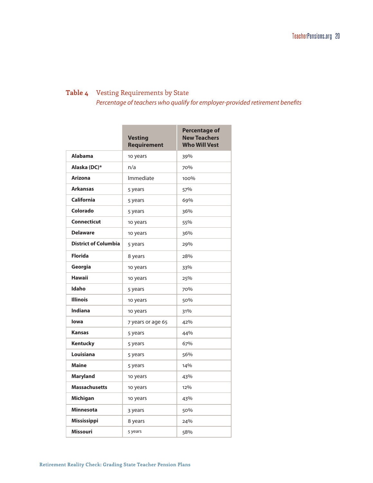# **Table 4** Vesting Requirements by State

*Percentage of teachers who qualify for employer-provided retirement benefits*

|                             | <b>Vesting</b><br><b>Requirement</b> | <b>Percentage of</b><br><b>New Teachers</b><br><b>Who Will Vest</b> |
|-----------------------------|--------------------------------------|---------------------------------------------------------------------|
| <b>Alabama</b>              | 10 years                             | 39%                                                                 |
| Alaska (DC)*                | n/a                                  | 70%                                                                 |
| <b>Arizona</b>              | Immediate                            | 100%                                                                |
| <b>Arkansas</b>             | 5 years                              | 57%                                                                 |
| <b>California</b>           | 5 years                              | 69%                                                                 |
| Colorado                    | 5 years                              | 36%                                                                 |
| <b>Connecticut</b>          | 10 years                             | 55%                                                                 |
| <b>Delaware</b>             | 10 years                             | 36%                                                                 |
| <b>District of Columbia</b> | 5 years                              | 29%                                                                 |
| <b>Florida</b>              | 8 years                              | 28%                                                                 |
| Georgia                     | 10 years                             | 33%                                                                 |
| <b>Hawaii</b>               | 10 years                             | 25%                                                                 |
| Idaho                       | 5 years                              | 70%                                                                 |
| <b>Illinois</b>             | 10 years                             | 50%                                                                 |
| Indiana                     | 10 years                             | 31%                                                                 |
| lowa                        | 7 years or age 65                    | 42%                                                                 |
| <b>Kansas</b>               | 5 years                              | 44%                                                                 |
| Kentucky                    | 5 years                              | 67%                                                                 |
| Louisiana                   | 5 years                              | 56%                                                                 |
| <b>Maine</b>                | 5 years                              | 14%                                                                 |
| <b>Maryland</b>             | 10 years                             | 43%                                                                 |
| <b>Massachusetts</b>        | 10 years                             | 12%                                                                 |
| Michigan                    | 10 years                             | 43%                                                                 |
| <b>Minnesota</b>            | 3 years                              | 50%                                                                 |
| Mississippi                 | 8 years                              | 24%                                                                 |
| <b>Missouri</b>             | 5 years                              | 58%                                                                 |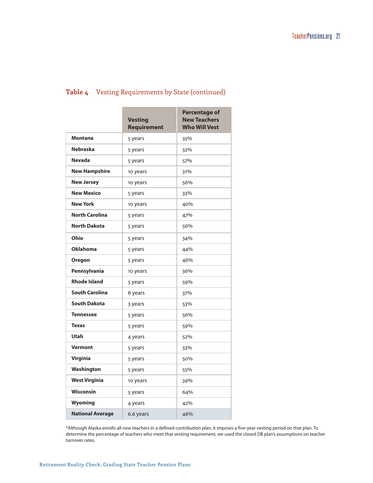### **Table 4** Vesting Requirements by State (continued)

|                         | <b>Vesting</b><br><b>Requirement</b> | <b>Percentage of</b><br><b>New Teachers</b><br><b>Who Will Vest</b> |
|-------------------------|--------------------------------------|---------------------------------------------------------------------|
| <b>Montana</b>          | 5 years                              | 35%                                                                 |
| <b>Nebraska</b>         | 5 years                              | 32%                                                                 |
| <b>Nevada</b>           | 5 years                              | 57%                                                                 |
| <b>New Hampshire</b>    | 10 years                             | 31%                                                                 |
| <b>New Jersey</b>       | 10 years                             | 56%                                                                 |
| <b>New Mexico</b>       | 5 years                              | 33%                                                                 |
| <b>New York</b>         | 10 years                             | 40%                                                                 |
| <b>North Carolina</b>   | 5 years                              | 47%                                                                 |
| <b>North Dakota</b>     | 5 years                              | 56%                                                                 |
| Ohio                    | 5 years                              | 34%                                                                 |
| <b>Oklahoma</b>         | 5 years                              | 44%                                                                 |
| Oregon                  | 5 years                              | 46%                                                                 |
| Pennsylvania            | 10 years                             | 36%                                                                 |
| <b>Rhode Island</b>     | 5 years                              | 59%                                                                 |
| <b>South Carolina</b>   | 8 years                              | 37%                                                                 |
| <b>South Dakota</b>     | 3 years                              | 53%                                                                 |
| <b>Tennessee</b>        | 5 years                              | 56%                                                                 |
| <b>Texas</b>            | 5 years                              | 59%                                                                 |
| Utah                    | 4 years                              | 52%                                                                 |
| <b>Vermont</b>          | 5 years                              | 33%                                                                 |
| <b>Virginia</b>         | 5 years                              | 50%                                                                 |
| Washington              | 5 years                              | 55%                                                                 |
| <b>West Virginia</b>    | 10 years                             | 39%                                                                 |
| <b>Wisconsin</b>        | 5 years                              | 64%                                                                 |
| Wyoming                 | 4 years                              | 42%                                                                 |
| <b>National Average</b> | 6.6 years                            | 46%                                                                 |

\*Although Alaska enrolls all new teachers in a defined contribution plan, it imposes a five-year vesting period on that plan. To determine the percentage of teachers who meet that vesting requirement, we used the closed DB plan's assumptions on teacher turnover rates.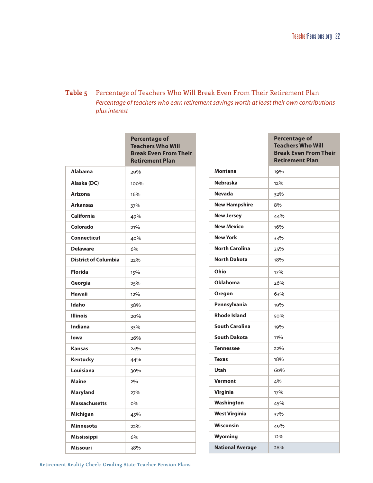## **Table 5** Percentage of Teachers Who Will Break Even From Their Retirement Plan *Percentage of teachers who earn retirement savings worth at least their own contributions plus interest*

|                             | <b>Percentage of</b><br><b>Teachers Who Will</b><br><b>Break Even From Their</b><br><b>Retirement Plan</b> |
|-----------------------------|------------------------------------------------------------------------------------------------------------|
| <b>Alabama</b>              | 29%                                                                                                        |
| Alaska (DC)                 | 100%                                                                                                       |
| <b>Arizona</b>              | 16%                                                                                                        |
| <b>Arkansas</b>             | 37%                                                                                                        |
| <b>California</b>           | 49%                                                                                                        |
| Colorado                    | 21%                                                                                                        |
| <b>Connecticut</b>          | 40%                                                                                                        |
| <b>Delaware</b>             | 6%                                                                                                         |
| <b>District of Columbia</b> | 22%                                                                                                        |
| <b>Florida</b>              | 15%                                                                                                        |
| Georgia                     | 25%                                                                                                        |
| <b>Hawaii</b>               | 12%                                                                                                        |
| Idaho                       | 38%                                                                                                        |
| <b>Illinois</b>             | 20%                                                                                                        |
| <b>Indiana</b>              | 33%                                                                                                        |
| lowa                        | 26%                                                                                                        |
| <b>Kansas</b>               | 24%                                                                                                        |
| Kentucky                    | 44%                                                                                                        |
| Louisiana                   | 30%                                                                                                        |
| <b>Maine</b>                | 2%                                                                                                         |
| <b>Maryland</b>             | 27%                                                                                                        |
| <b>Massachusetts</b>        | $O\%$                                                                                                      |
| Michigan                    | 45%                                                                                                        |
| <b>Minnesota</b>            | 22%                                                                                                        |
| Mississippi                 | 6%                                                                                                         |
| <b>Missouri</b>             | 38%                                                                                                        |

|                         | <b>Percentage of</b><br><b>Teachers Who Will</b><br><b>Break Even From Their</b><br><b>Retirement Plan</b> |
|-------------------------|------------------------------------------------------------------------------------------------------------|
| <b>Montana</b>          | 19%                                                                                                        |
| <b>Nebraska</b>         | 12%                                                                                                        |
| <b>Nevada</b>           | 32%                                                                                                        |
| <b>New Hampshire</b>    | 8%                                                                                                         |
| <b>New Jersey</b>       | 44%                                                                                                        |
| <b>New Mexico</b>       | 16%                                                                                                        |
| <b>New York</b>         | 33%                                                                                                        |
| <b>North Carolina</b>   | 25%                                                                                                        |
| <b>North Dakota</b>     | 18%                                                                                                        |
| Ohio                    | 17%                                                                                                        |
| <b>Oklahoma</b>         | 26%                                                                                                        |
| Oregon                  | 63%                                                                                                        |
| Pennsylvania            | 19%                                                                                                        |
| <b>Rhode Island</b>     | 50%                                                                                                        |
| <b>South Carolina</b>   | 19%                                                                                                        |
| <b>South Dakota</b>     | 11%                                                                                                        |
| <b>Tennessee</b>        | 22%                                                                                                        |
| <b>Texas</b>            | 18%                                                                                                        |
| <b>Utah</b>             | 60%                                                                                                        |
| <b>Vermont</b>          | 4%                                                                                                         |
| <b>Virginia</b>         | 17%                                                                                                        |
| Washington              | 45%                                                                                                        |
| <b>West Virginia</b>    | 37%                                                                                                        |
| <b>Wisconsin</b>        | 49%                                                                                                        |
| <b>Wyoming</b>          | 12%                                                                                                        |
| <b>National Average</b> | 28%                                                                                                        |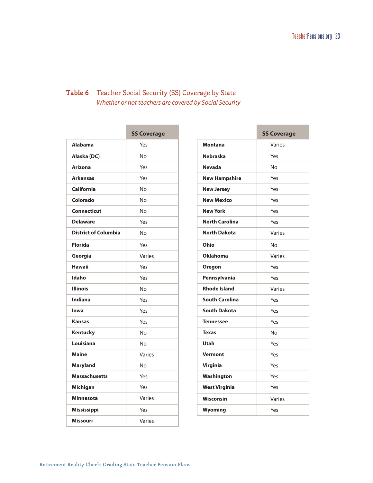# **Table 6** Teacher Social Security (SS) Coverage by State *Whether or not teachers are covered by Social Security*

|                             | <b>SS Coverage</b> |
|-----------------------------|--------------------|
| <b>Alahama</b>              | Yes                |
| Alaska (DC)                 | No                 |
| <b>Arizona</b>              | Yes                |
| <b>Arkansas</b>             | Yes                |
| California                  | Nο                 |
| Colorado                    | No                 |
| <b>Connecticut</b>          | No                 |
| <b>Delaware</b>             | Yes                |
| <b>District of Columbia</b> | No                 |
| <b>Florida</b>              | Yes                |
| Georgia                     | Varies             |
| <b>Hawaii</b>               | Yes                |
| Idaho                       | Yes                |
| <b>Illinois</b>             | Nο                 |
| Indiana                     | Yes                |
| lowa                        | Yes                |
| <b>Kansas</b>               | Yes                |
| <b>Kentucky</b>             | No                 |
| Louisiana                   | No                 |
| <b>Maine</b>                | Varies             |
| <b>Maryland</b>             | Nο                 |
| <b>Massachusetts</b>        | Yes                |
| <b>Michigan</b>             | Yes                |
| <b>Minnesota</b>            | Varies             |
| <b>Mississippi</b>          | Yes                |
| <b>Missouri</b>             | Varies             |

|                       | <b>SS Coverage</b> |
|-----------------------|--------------------|
| Montana               | Varies             |
| <b>Nebraska</b>       | Yes                |
| <b>Nevada</b>         | No                 |
| <b>New Hampshire</b>  | Yes                |
| <b>New Jersey</b>     | Yes                |
| <b>New Mexico</b>     | Yes                |
| <b>New York</b>       | Yes                |
| <b>North Carolina</b> | Yes                |
| <b>North Dakota</b>   | Varies             |
| Ohio                  | No                 |
| <b>Oklahoma</b>       | Varies             |
| Oregon                | Yes                |
| Pennsylvania          | Yes                |
| <b>Rhode Island</b>   | Varies             |
| <b>South Carolina</b> | Yes                |
| <b>South Dakota</b>   | Yes                |
| <b>Tennessee</b>      | Yes                |
| <b>Texas</b>          | No                 |
| Utah                  | Yes                |
| <b>Vermont</b>        | Yes                |
| <b>Virginia</b>       | Yes                |
| Washington            | Yes                |
| <b>West Virginia</b>  | Yes                |
| <b>Wisconsin</b>      | Varies             |
| Wyoming               | Yes                |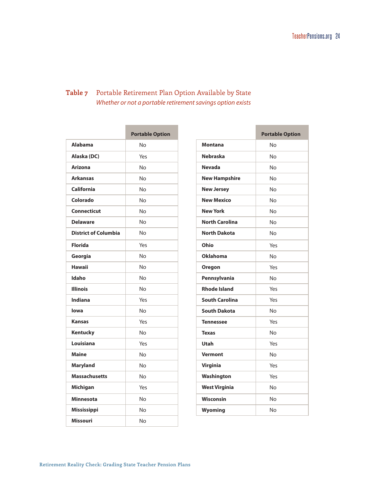# **Table 7** Portable Retirement Plan Option Available by State *Whether or not a portable retirement savings option exists*

|                             | <b>Portable Option</b> |
|-----------------------------|------------------------|
| <b>Alabama</b>              | Nο                     |
| Alaska (DC)                 | Yes                    |
| <b>Arizona</b>              | No                     |
| <b>Arkansas</b>             | Nο                     |
| California                  | No                     |
| Colorado                    | No                     |
| <b>Connecticut</b>          | No                     |
| <b>Delaware</b>             | No                     |
| <b>District of Columbia</b> | No                     |
| <b>Florida</b>              | Yes                    |
| Georgia                     | No                     |
| <b>Hawaii</b>               | No                     |
| Idaho                       | No                     |
| <b>Illinois</b>             | Nο                     |
| <b>Indiana</b>              | Yes                    |
| lowa                        | Nο                     |
| <b>Kansas</b>               | Yes                    |
| Kentucky                    | Nο                     |
| Louisiana                   | Yes                    |
| <b>Maine</b>                | No                     |
| <b>Maryland</b>             | No                     |
| <b>Massachusetts</b>        | No                     |
| Michigan                    | Yes                    |
| <b>Minnesota</b>            | No                     |
| Mississippi                 | No                     |
| <b>Missouri</b>             | No                     |

|                       | <b>Portable Option</b> |
|-----------------------|------------------------|
| <b>Montana</b>        | <b>No</b>              |
| <b>Nebraska</b>       | <b>No</b>              |
| <b>Nevada</b>         | No                     |
| <b>New Hampshire</b>  | <b>No</b>              |
| <b>New Jersey</b>     | No                     |
| <b>New Mexico</b>     | Nο                     |
| <b>New York</b>       | No                     |
| <b>North Carolina</b> | No                     |
| <b>North Dakota</b>   | No                     |
| Ohio                  | Yes                    |
| <b>Oklahoma</b>       | No                     |
| Oregon                | Yes                    |
| Pennsylvania          | Nο                     |
| <b>Rhode Island</b>   | Yes                    |
| <b>South Carolina</b> | Yes                    |
| <b>South Dakota</b>   | Nο                     |
| <b>Tennessee</b>      | Yes                    |
| <b>Texas</b>          | No                     |
| Utah                  | Yes                    |
| <b>Vermont</b>        | Nο                     |
| <b>Virginia</b>       | Yes                    |
| Washington            | Yes                    |
| <b>West Virginia</b>  | No                     |
| Wisconsin             | No                     |
| Wyoming               | No                     |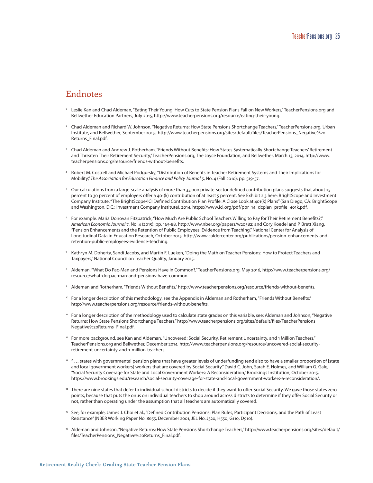# <span id="page-28-0"></span>Endnotes

- <span id="page-28-1"></span>Leslie Kan and Chad Aldeman, "Eating Their Young: How Cuts to State Pension Plans Fall on New Workers," TeacherPensions.org and Bellwether Education Partners, July 2015, [http://www.teacherpensions.org/resource/eating-their-young.](http://www.teacherpensions.org/resource/eating-their-young)
- <span id="page-28-2"></span><sup>2</sup> Chad Aldeman and Richard W. Johnson, "Negative Returns: How State Pensions Shortchange Teachers," TeacherPensions.org, Urban Institute, and Bellwether, September 2015, [http://www.teacherpensions.org/sites/default/files/TeacherPensions\\_Negative%20](http://www.teacherpensions.org/sites/default/files/TeacherPensions_Negative%20Returns_Final.pdf) [Returns\\_Final.pdf](http://www.teacherpensions.org/sites/default/files/TeacherPensions_Negative%20Returns_Final.pdf).
- <span id="page-28-3"></span><sup>3</sup> Chad Aldeman and Andrew J. Rotherham, "Friends Without Benefits: How States Systematically Shortchange Teachers' Retirement and Threaten Their Retirement Security," TeacherPensions.org, The Joyce Foundation, and Bellwether, March 13, 2014, [http://www.](http://www.teacherpensions.org/resource/friends-without-benefits) [teacherpensions.org/resource/friends-without-benefits](http://www.teacherpensions.org/resource/friends-without-benefits).
- <span id="page-28-4"></span><sup>4</sup> Robert M. Costrell and Michael Podgursky, "Distribution of Benefits in Teacher Retirement Systems and Their Implications for Mobility," *The Association for Education Finance and Policy Journal* 5, No. 4 (Fall 2010): pp. 519-57.
- <span id="page-28-5"></span><sup>5</sup> Our calculations from a large-scale analysis of more than 35,000 private-sector defined contribution plans suggests that about 25 percent to 30 percent of employers offer a 401(k) contribution of at least 5 percent. See Exhibit 2.3 here: BrightScope and Investment Company Institute, "The BrightScope/ICI Defined Contribution Plan Profile: A Close Look at 401(k) Plans" (San Diego, CA: BrightScope and Washington, D.C.: Investment Company Institute), 2014, [https://www.ici.org/pdf/ppr\\_14\\_dcplan\\_profile\\_401k.pdf.](https://www.ici.org/pdf/ppr_14_dcplan_profile_401k.pdf)
- <span id="page-28-6"></span><sup>6</sup> For example: Maria Donovan Fitzpatrick, "How Much Are Public School Teachers Willing to Pay for Their Retirement Benefits?," *American Economic Journal* 7, No. 4 (2015): pp. 165-88,<http://www.nber.org/papers/w20582>; and Cory Koedel and P. Brett Xiang, "Pension Enhancements and the Retention of Public Employees: Evidence from Teaching," National Center for Analysis of Longitudinal Data in Education Research, October 2015, [http://www.caldercenter.org/publications/pension-enhancements-and](http://www.caldercenter.org/publications/pension-enhancements-and-retention-public-employees-evidence-teaching)[retention-public-employees-evidence-teaching.](http://www.caldercenter.org/publications/pension-enhancements-and-retention-public-employees-evidence-teaching)
- <span id="page-28-7"></span><sup>7</sup> Kathryn M. Doherty, Sandi Jacobs, and Martin F. Lueken, "Doing the Math on Teacher Pensions: How to Protect Teachers and Taxpayers," National Council on Teacher Quality, January 2015.
- <span id="page-28-8"></span><sup>8</sup> Aldeman, "What Do Pac-Man and Pensions Have in Common?," TeacherPensions.org, May 2016, [http://www.teacherpensions.org/](http://www.teacherpensions.org/resource/what-do-pac-man-and-pensions-have-common) [resource/what-do-pac-man-and-pensions-have-common.](http://www.teacherpensions.org/resource/what-do-pac-man-and-pensions-have-common)
- <span id="page-28-9"></span><sup>9</sup> Aldeman and Rotherham, "Friends Without Benefits,"<http://www.teacherpensions.org/resource/friends-without-benefits>.
- <span id="page-28-10"></span><sup>10</sup> For a longer description of this methodology, see the Appendix in Aldeman and Rotherham, "Friends Without Benefits," [http://www.teacherpensions.org/resource/friends-without-benefits.](http://www.teacherpensions.org/resource/friends-without-benefits)
- <span id="page-28-11"></span><sup>11</sup> For a longer description of the methodology used to calculate state grades on this variable, see: Aldeman and Johnson, "Negative Returns: How State Pensions Shortchange Teachers," [http://www.teacherpensions.org/sites/default/files/TeacherPensions\\_](http://www.teacherpensions.org/sites/default/files/TeacherPensions_Negative%20Returns_Final.pdf) [Negative%20Returns\\_Final.pdf](http://www.teacherpensions.org/sites/default/files/TeacherPensions_Negative%20Returns_Final.pdf).
- <span id="page-28-12"></span><sup>12</sup> For more background, see Kan and Aldeman, "Uncovered: Social Security, Retirement Uncertainty, and 1 Million Teachers," TeacherPensions.org and Bellwether, December 2014, [http://www.teacherpensions.org/resource/uncovered-social-security](http://www.teacherpensions.org/resource/uncovered-social-security-retirement-uncertainty-and-1-million-teachers)[retirement-uncertainty-and-1-million-teachers.](http://www.teacherpensions.org/resource/uncovered-social-security-retirement-uncertainty-and-1-million-teachers)
- <span id="page-28-13"></span><sup>13</sup> "... states with governmental pension plans that have greater levels of underfunding tend also to have a smaller proportion of [state and local government workers] workers that are covered by Social Security." David C. John, Sarah E. Holmes, and William G. Gale, "Social Security Coverage for State and Local Government Workers: A Reconsideration," Brookings Institution, October 2015, [https://www.brookings.edu/research/social-security-coverage-for-state-and-local-government-workers-a-reconsideration/.](https://www.brookings.edu/research/social-security-coverage-for-state-and-local-government-workers-a-reconsideration/)
- <span id="page-28-14"></span>14 There are nine states that defer to individual school districts to decide if they want to offer Social Security. We gave those states zero points, because that puts the onus on individual teachers to shop around across districts to determine if they offer Social Security or not, rather than operating under the assumption that all teachers are automatically covered.
- <span id="page-28-15"></span><sup>15</sup> See, for example, James J. Choi et al., "Defined Contribution Pensions: Plan Rules, Participant Decisions, and the Path of Least Resistance" (NBER Working Paper No. 8655, December 2001, JEL No. J320, H550, G110, D910).
- <span id="page-28-16"></span><sup>16</sup> Aldeman and Johnson, "Negative Returns: How State Pensions Shortchange Teachers," [http://www.teacherpensions.org/sites/default/](http://www.teacherpensions.org/sites/default/files/TeacherPensions_Negative%20Returns_Final.pdf) [files/TeacherPensions\\_Negative%20Returns\\_Final.pdf.](http://www.teacherpensions.org/sites/default/files/TeacherPensions_Negative%20Returns_Final.pdf)